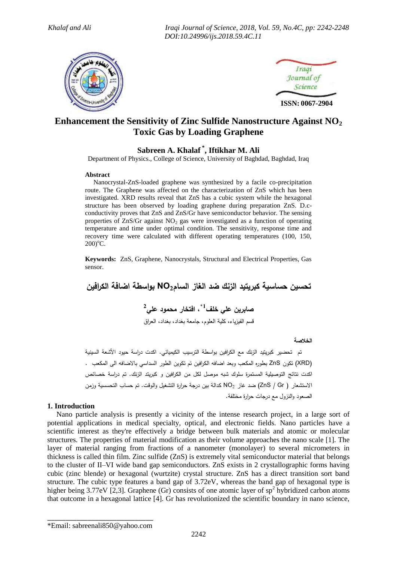*Khalaf and Ali Iraqi Journal of Science, 2018, Vol. 59, No.4C, pp: 2242-2248 DOI:10.24996/ijs.2018.59.4C.11*





# **Enhancement the Sensitivity of Zinc Sulfide Nanostructure Against NO<sup>2</sup> Toxic Gas by Loading Graphene**

# **Sabreen A. Khalaf \* , Iftikhar M. Ali**

Department of Physics., College of Science, University of Baghdad, Baghdad, Iraq

#### **Abstract**

 Nanocrystal-ZnS-loaded graphene was synthesized by a facile co-precipitation route. The Graphene was affected on the characterization of ZnS which has been investigated. XRD results reveal that ZnS has a cubic system while the hexagonal structure has been observed by loading graphene during preparation ZnS. D.cconductivity proves that ZnS and ZnS/Gr have semiconductor behavior. The sensing properties of  $\text{ZnS/Gr}$  against NO<sub>2</sub> gas were investigated as a function of operating temperature and time under optimal condition. The sensitivity, response time and recovery time were calculated with different operating temperatures (100, 150,  $200$ <sup>o</sup>C.

**Keywords:** ZnS, Graphene, Nanocrystals, Structural and Electrical Properties, Gas sensor.

**تحسين حساسية كبريتيد الزنك ضد الغاز السام2NO بواسطة اضافة الكرافين**

**1\* صابرين علي خلف ، افتخار محمود علي 2** قسم الفيزياء، كلية العلوم، جامعة بغداد، بغداد، العراق

**الخالصة**

 تم تحضير كبريتيد الزنك مع الكرافين بواسطة الترسيب الكيميائي. اكدت دراسة حيود األشعة السينية )XRD )تكو ن ZnS بطوره المكعب وبعد اضافه الكرافين تم تكوين الطور السداسي باالضافه الى المكعب . اكدت نتائج التوصيلية المستمرة سلوك شبه موصل لكل من الكرافين و كبر يتد الزنك. تم دراسة خصائص االستشعار ) Gr / ZnS )ضد غاز 2NO كدالة بين درجة حرارة التشغيل والوقت. تم حساب التحسسية وزمن الصعود والنزول مع درجات حرارة مختلفة.

### **1. Introduction**

 Nano particle analysis is presently a vicinity of the intense research project, in a large sort of potential applications in medical specialty, optical, and electronic fields. Nano particles have a scientific interest as they're effectively a bridge between bulk materials and atomic or molecular structures. The properties of material modification as their volume approaches the nano scale [1]. The layer of material ranging from fractions of a nanometer (monolayer) to several micrometers in thickness is called thin film. Zinc sulfide (ZnS) is extremely vital semiconductor material that belongs to the cluster of II–VI wide band gap semiconductors. ZnS exists in 2 crystallographic forms having cubic (zinc blende) or hexagonal (wurtzite) crystal structure. ZnS has a direct transition sort band structure. The cubic type features a band gap of 3.72eV, whereas the band gap of hexagonal type is higher being 3.77eV [2,3]. Graphene (Gr) consists of one atomic layer of  $sp<sup>2</sup>$  hybridized carbon atoms that outcome in a hexagonal lattice [4]. Gr has revolutionized the scientific boundary in nano science,

\_\_\_\_\_\_\_\_\_\_\_\_\_\_\_\_\_\_\_\_\_\_\_\_\_\_\_\_\_ \*Email: [sabreenali850@yahoo.com](mailto:sabreenali850@yahoo.com*Email)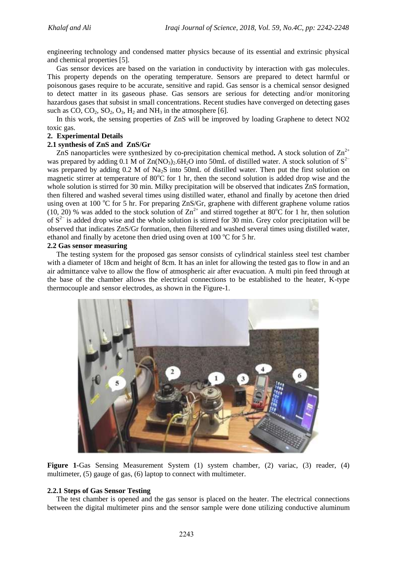engineering technology and condensed matter physics because of its essential and extrinsic physical and chemical properties [5].

 Gas sensor devices are based on the variation in conductivity by interaction with gas molecules. This property depends on the operating temperature. Sensors are prepared to detect harmful or poisonous gases require to be accurate, sensitive and rapid. Gas sensor is a chemical sensor designed to detect matter in its gaseous phase. Gas sensors are serious for detecting and/or monitoring hazardous gases that subsist in small concentrations. Recent studies have converged on detecting gases such as  $CO$ ,  $CO_2$ ,  $SO_2$ ,  $O_3$ ,  $H_2$  and  $NH_3$  in the atmosphere [6].

 In this work, the sensing properties of ZnS will be improved by loading Graphene to detect NO2 toxic gas.

#### **2. Experimental Details**

#### **2.1 synthesis of ZnS and ZnS/Gr**

ZnS nanoparticles were synthesized by co-precipitation chemical method. A stock solution of  $\text{Zn}^{2+}$ was prepared by adding 0.1 M of Zn(NO<sub>3</sub>)<sub>2</sub>.6H<sub>2</sub>O into 50mL of distilled water. A stock solution of  $S^{2-}$ was prepared by adding 0.2 M of Na<sub>2</sub>S into 50mL of distilled water. Then put the first solution on magnetic stirrer at temperature of  $80^{\circ}$ C for 1 hr, then the second solution is added drop wise and the whole solution is stirred for 30 min. Milky precipitation will be observed that indicates ZnS formation, then filtered and washed several times using distilled water, ethanol and finally by acetone then dried using oven at 100  $\degree$ C for 5 hr. For preparing ZnS/Gr, graphene with different graphene volume ratios (10, 20) % was added to the stock solution of  $\text{Zn}^{2+}$  and stirred together at 80°C for 1 hr, then solution of  $S<sup>2−</sup>$  is added drop wise and the whole solution is stirred for 30 min. Grey color precipitation will be observed that indicates ZnS/Gr formation, then filtered and washed several times using distilled water, ethanol and finally by acetone then dried using oven at 100  $^{\circ}$ C for 5 hr.

### **2.2 Gas sensor measuring**

 The testing system for the proposed gas sensor consists of cylindrical stainless steel test chamber with a diameter of 18cm and height of 8cm. It has an inlet for allowing the tested gas to flow in and an air admittance valve to allow the flow of atmospheric air after evacuation. A multi pin feed through at the base of the chamber allows the electrical connections to be established to the heater, K-type thermocouple and sensor electrodes, as shown in the Figure-1.



**Figure 1-**Gas Sensing Measurement System (1) system chamber, (2) variac, (3) reader, (4) multimeter, (5) gauge of gas, (6) laptop to connect with multimeter.

### **2.2.1 Steps of Gas Sensor Testing**

 The test chamber is opened and the gas sensor is placed on the heater. The electrical connections between the digital multimeter pins and the sensor sample were done utilizing conductive aluminum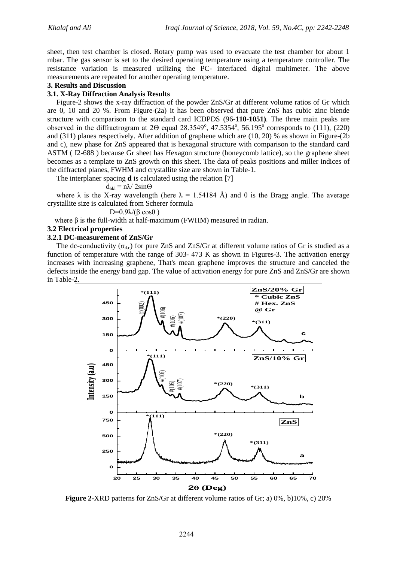sheet, then test chamber is closed. Rotary pump was used to evacuate the test chamber for about 1 mbar. The gas sensor is set to the desired operating temperature using a temperature controller. The resistance variation is measured utilizing the PC- interfaced digital multimeter. The above measurements are repeated for another operating temperature.

### **3. Results and Discussion**

### **3.1. X-Ray Diffraction Analysis Results**

 Figure-2 shows the x-ray diffraction of the powder ZnS/Gr at different volume ratios of Gr which are 0, 10 and 20 %. From Figure-(2a) it has been observed that pure ZnS has cubic zinc blende structure with comparison to the standard card ICDPDS (96**-110-1051)**. The three main peaks are observed in the diffractrogram at  $2\Theta$  equal  $28.3549^{\circ}$ ,  $47.5354^{\circ}$ ,  $56.195^{\circ}$  corresponds to  $(1\overline{1}1)$ ,  $(220)$ and (311) planes respectively. After addition of graphene which are (10, 20) % as shown in Figure-(2b and c), new phase for ZnS appeared that is hexagonal structure with comparison to the standard card ASTM ( I2-688 ) because Gr sheet has Hexagon structure (honeycomb lattice), so the graphene sheet becomes as a template to ZnS growth on this sheet. The data of peaks positions and miller indices of the diffracted planes, FWHM and crystallite size are shown in Table-1.

The interplaner spacing **d** is calculated using the relation [7]

## $d_{hkl} = n\lambda/2\sin\Theta$

where  $\lambda$  is the X-ray wavelength (here  $\lambda = 1.54184$  Å) and  $\theta$  is the Bragg angle. The average crystallite size is calculated from Scherer formula

D=0.9λ/(β cosθ)

where  $\beta$  is the full-width at half-maximum (FWHM) measured in radian.

### **3.2 Electrical properties**

### **3.2.1 DC-measurement of ZnS/Gr**

The dc-conductivity ( $\sigma_{dc}$ ) for pure ZnS and ZnS/Gr at different volume ratios of Gr is studied as a function of temperature with the range of 303- 473 K as shown in Figures-3. The activation energy increases with increasing graphene, That's mean graphene improves the structure and canceled the defects inside the energy band gap. The value of activation energy for pure ZnS and ZnS/Gr are shown in Table-2.



**Figure 2-**XRD patterns for ZnS/Gr at different volume ratios of Gr; a) 0%, b)10%, c) 20%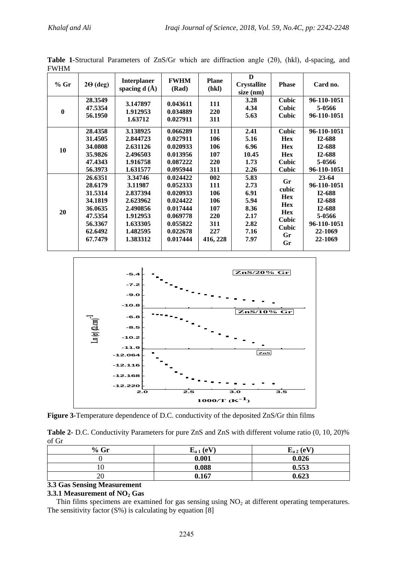| $%$ Gr   | $2\Theta$ (deg) | <b>Interplaner</b><br>spacing $d(A)$ | <b>FWHM</b><br>(Rad) | <b>Plane</b><br>(hkl) | D<br><b>Crystallite</b><br>$size$ (nm) | <b>Phase</b> | Card no.    |
|----------|-----------------|--------------------------------------|----------------------|-----------------------|----------------------------------------|--------------|-------------|
| $\bf{0}$ | 28.3549         | 3.147897                             | 0.043611             | 111                   | 3.28                                   | <b>Cubic</b> | 96-110-1051 |
|          | 47.5354         | 1.912953                             | 0.034889             | 220                   | 4.34                                   | Cubic        | 5-0566      |
|          | 56.1950         | 1.63712                              | 0.027911             | 311                   | 5.63                                   | <b>Cubic</b> | 96-110-1051 |
| 10       | 28.4358         | 3.138925                             | 0.066289             | 111                   | 2.41                                   | <b>Cubic</b> | 96-110-1051 |
|          | 31.4505         | 2.844723                             | 0.027911             | 106                   | 5.16                                   | <b>Hex</b>   | I2-688      |
|          | 34.0808         | 2.631126                             | 0.020933             | 106                   | 6.96                                   | <b>Hex</b>   | I2-688      |
|          | 35.9826         | 2.496503                             | 0.013956             | 107                   | 10.45                                  | <b>Hex</b>   | I2-688      |
|          | 47.4343         | 1.916758                             | 0.087222             | 220                   | 1.73                                   | <b>Cubic</b> | 5-0566      |
|          | 56.3973         | 1.631577                             | 0.095944             | 311                   | 2.26                                   | <b>Cubic</b> | 96-110-1051 |
| 20       | 26.6351         | 3.34746                              | 0.024422             | 002                   | 5.83                                   | Gr           | $23 - 64$   |
|          | 28.6179         | 3.11987                              | 0.052333             | 111                   | 2.73                                   | cubic        | 96-110-1051 |
|          | 31.5314         | 2.837394                             | 0.020933             | 106                   | 6.91                                   | <b>Hex</b>   | I2-688      |
|          | 34.1819         | 2.623962                             | 0.024422             | 106                   | 5.94                                   | <b>Hex</b>   | I2-688      |
|          | 36.0635         | 2.490856                             | 0.017444             | 107                   | 8.36                                   | <b>Hex</b>   | I2-688      |
|          | 47.5354         | 1.912953                             | 0.069778             | 220                   | 2.17                                   | <b>Cubic</b> | 5-0566      |
|          | 56.3367         | 1.633305                             | 0.055822             | 311                   | 2.82                                   | <b>Cubic</b> | 96-110-1051 |
|          | 62.6492         | 1.482595                             | 0.022678             | 227                   | 7.16                                   | Gr           | 22-1069     |
|          | 67.7479         | 1.383312                             | 0.017444             | 416, 228              | 7.97                                   | Gr           | 22-1069     |

**Table 1-**Structural Parameters of ZnS/Gr which are diffraction angle (2θ), (hkl), d-spacing, and FWHM



**Figure 3-**Temperature dependence of D.C. conductivity of the deposited ZnS/Gr thin films

**Table 2-** D.C. Conductivity Parameters for pure ZnS and ZnS with different volume ratio (0, 10, 20)% of Gr

| $%$ Gr | . (eV)<br>$E_{a1}$ | $E_{a2}$ (eV) |
|--------|--------------------|---------------|
|        | 0.001              | 0.026         |
| 10     | 0.088              | 0.553         |
| 20     | 0.167              | 0.623         |

**3.3 Gas Sensing Measurement**

### **3.3.1 Measurement of NO<sup>2</sup> Gas**

Thin films specimens are examined for gas sensing using  $NO<sub>2</sub>$  at different operating temperatures. The sensitivity factor  $(S\%)$  is calculating by equation [8]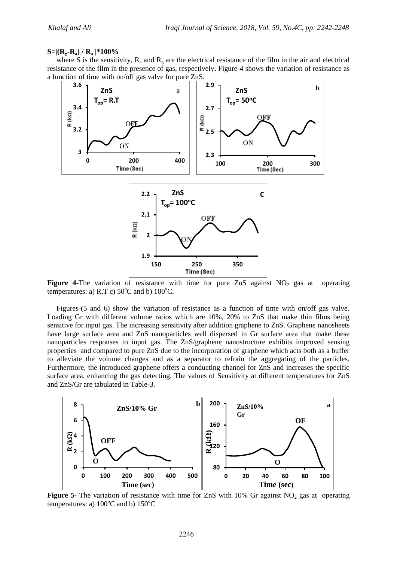#### **S=|(Rg-Ra) / R<sup>a</sup> |\*100%**

where S is the sensitivity,  $R_a$  and  $R_g$  are the electrical resistance of the film in the air and electrical resistance of the film in the presence of gas, respectively**.** Figure-4 shows the variation of resistance as a function of time with on/off gas valve for pure ZnS.



**Figure 4-The** variation of resistance with time for pure  $\text{ZnS}$  against  $\text{NO}_2$  gas at operating temperatures: a) R.T c)  $50^{\circ}$ C and b)  $100^{\circ}$ C.

 Figures-(5 and 6) show the variation of resistance as a function of time with on/off gas valve. Loading Gr with different volume ratios which are 10%, 20% to ZnS that make thin films being sensitive for input gas. The increasing sensitivity after addition graphene to ZnS. Graphene nanosheets have large surface area and ZnS nanoparticles well dispersed in Gr surface area that make these nanoparticles responses to input gas. The ZnS/graphene nanostructure exhibits improved sensing properties and compared to pure ZnS due to the incorporation of graphene which acts both as a buffer to alleviate the volume changes and as a separator to refrain the aggregating of the particles. Furthermore, the introduced graphene offers a conducting channel for ZnS and increases the specific surface area, enhancing the gas detecting. The values of Sensitivity at different temperatures for ZnS and ZnS/Gr are tabulated in Table-3.



**Figure 5-** The variation of resistance with time for ZnS with  $10\%$  Gr against NO<sub>2</sub> gas at operating temperatures: a)  $100^{\circ}$ C and b)  $150^{\circ}$ C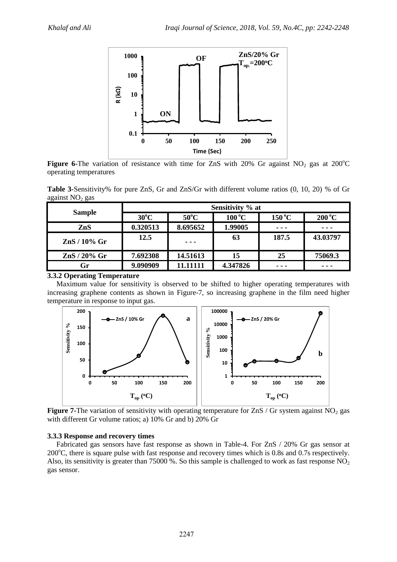

**Figure 6-The variation of resistance with time for ZnS with 20% Gr against**  $NO<sub>2</sub>$  **gas at 200°C** operating temperatures

**Table 3-**Sensitivity% for pure ZnS, Gr and ZnS/Gr with different volume ratios (0, 10, 20) % of Gr against  $NO<sub>2</sub>$  gas

|                         | Sensitivity % at |                |                           |                 |                           |  |
|-------------------------|------------------|----------------|---------------------------|-----------------|---------------------------|--|
| <b>Sample</b>           | $30^{\circ}$ C   | $50^{\circ}$ C | $100\,^{\circ}\mathrm{C}$ | $150^{\circ}$ C | $200\,^{\circ}\mathrm{C}$ |  |
| ZnS                     | 0.320513         | 8.695652       | 1.99005                   | $\frac{1}{2}$   |                           |  |
| $\mathrm{ZnS}$ / 10% Gr | 12.5             | ---            | 63                        | 187.5           | 43.03797                  |  |
| $\text{ZnS}$ / 20% Gr   | 7.692308         | 14.51613       | 15                        | 25              | 75069.3                   |  |
| Gr                      | 9.090909         | 11.11111       | 4.347826                  | - - -           |                           |  |

### **3.3.2 Operating Temperature**

 Maximum value for sensitivity is observed to be shifted to higher operating temperatures with increasing graphene contents as shown in Figure-7, so increasing graphene in the film need higher temperature in response to input gas.



**Figure 7-The variation of sensitivity with operating temperature for ZnS / Gr system against NO<sub>2</sub> gas** with different Gr volume ratios; a) 10% Gr and b) 20% Gr

# **3.3.3 Response and recovery times**

 Fabricated gas sensors have fast response as shown in Table-4. For ZnS / 20% Gr gas sensor at  $200^{\circ}$ C, there is square pulse with fast response and recovery times which is 0.8s and 0.7s respectively. Also, its sensitivity is greater than 75000 %. So this sample is challenged to work as fast response  $NO<sub>2</sub>$ gas sensor.